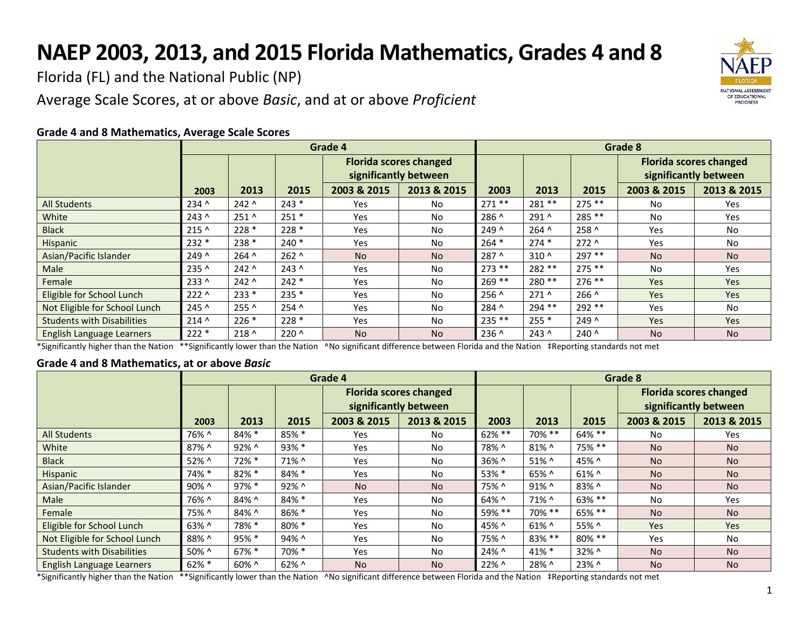## **NAEP 2003, 2013, and 2015 Florida Mathematics, Grades 4 and 8**

Florida (FL) and the National Public (NP)

Average Scale Scores, at or above *Basic*, and at or above *Proficient*



## **Grade 4 and 8 Mathematics, Average Scale Scores**

\*Significantly higher than the Nation \*\*Significantly lower than the Nation ^No significant difference between Florida and the Nation ‡Reporting standards not met

## **Grade 4 and 8 Mathematics, at or above** *Basic*

|                                   | Grade 4 |          |          |                                                        |                | Grade 8    |          |           |                                                        |                |  |
|-----------------------------------|---------|----------|----------|--------------------------------------------------------|----------------|------------|----------|-----------|--------------------------------------------------------|----------------|--|
|                                   |         |          |          | <b>Florida scores changed</b><br>significantly between |                |            |          |           | <b>Florida scores changed</b><br>significantly between |                |  |
|                                   | 2003    | 2013     | 2015     | 2003 & 2015                                            | 2013 & 2015    | 2003       | 2013     | 2015      | 2003 & 2015                                            | 2013 & 2015    |  |
| <b>All Students</b>               | 76% ^   | 84% *    | 85% *    | Yes                                                    | No.            | $62\% * *$ | 70% **   | 64% **    | No.                                                    | Yes            |  |
| White                             | 87% ^   | 92% ^    | $93\% *$ | Yes                                                    | No.            | 78% ^      | 81% ^    | 75% **    | N <sub>o</sub>                                         | N <sub>o</sub> |  |
| <b>Black</b>                      | 52% ^   | 72% *    | 71% ^    | Yes                                                    | <b>No</b>      | 36% ^      | 51% ^    | 45% ^     | <b>No</b>                                              | <b>No</b>      |  |
| Hispanic                          | 74% *   | $82\% *$ | 84% *    | Yes                                                    | <b>No</b>      | 53% *      | 65% ^    | $61\%$ ^  | <b>No</b>                                              | <b>No</b>      |  |
| Asian/Pacific Islander            | 90% ^   | 97% *    | 92% ^    | <b>No</b>                                              | <b>No</b>      | 75% ^      | $91\%$ ^ | 83% ^     | <b>No</b>                                              | <b>No</b>      |  |
| Male                              | 76% ^   | 84% ^    | 84% *    | <b>Yes</b>                                             | No.            | 64% ^      | 71% ^    | $63\%$ ** | No.                                                    | Yes            |  |
| Female                            | 75% ^   | 84% ^    | $86\% *$ | Yes                                                    | N <sub>o</sub> | 59% **     | 70% **   | $65\%$ ** | <b>No</b>                                              | <b>No</b>      |  |
| Eligible for School Lunch         | 63% ^   | 78% *    | 80% *    | Yes                                                    | <b>No</b>      | 45% ^      | $61\%$ ^ | 55% ^     | <b>Yes</b>                                             | <b>Yes</b>     |  |
| Not Eligible for School Lunch     | 88% ^   | $95%$ *  | 94% ^    | <b>Yes</b>                                             | No.            | 75% ^      | 83% **   | 80% **    | Yes                                                    | No.            |  |
| <b>Students with Disabilities</b> | 50% ^   | 67% *    | 70% *    | Yes                                                    | No.            | 24% ^      | 41% *    | 32% ^     | <b>No</b>                                              | <b>No</b>      |  |
| <b>English Language Learners</b>  | $62%$ * | 60% ^    | $62\%$ ^ | <b>No</b>                                              | <b>No</b>      | 22% ^      | 28% ^    | 23% ^     | <b>No</b>                                              | <b>No</b>      |  |

\*Significantly higher than the Nation \*\*Significantly lower than the Nation ^No significant difference between Florida and the Nation ‡Reporting standards not met